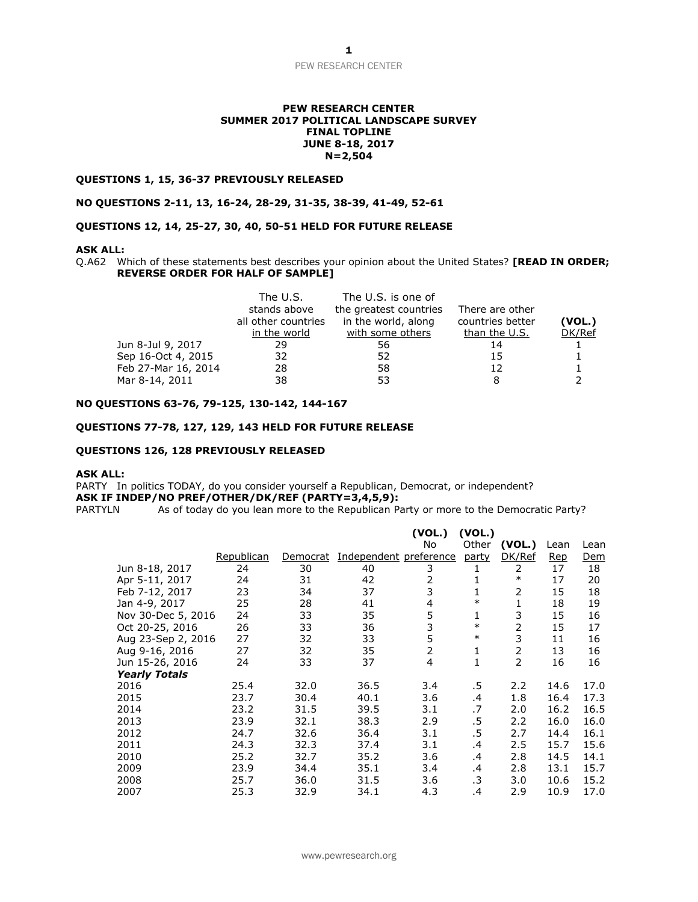#### PEW RESEARCH CENTER

#### **PEW RESEARCH CENTER SUMMER 2017 POLITICAL LANDSCAPE SURVEY FINAL TOPLINE JUNE 8-18, 2017 N=2,504**

#### **QUESTIONS 1, 15, 36-37 PREVIOUSLY RELEASED**

#### **NO QUESTIONS 2-11, 13, 16-24, 28-29, 31-35, 38-39, 41-49, 52-61**

### **QUESTIONS 12, 14, 25-27, 30, 40, 50-51 HELD FOR FUTURE RELEASE**

#### **ASK ALL:**

Q.A62 Which of these statements best describes your opinion about the United States? **[READ IN ORDER; REVERSE ORDER FOR HALF OF SAMPLE]**

|                     | The U.S.            | The U.S. is one of     |                  |        |
|---------------------|---------------------|------------------------|------------------|--------|
|                     | stands above        | the greatest countries | There are other  |        |
|                     | all other countries | in the world, along    | countries better | (VOL.) |
|                     | in the world        | with some others       | than the U.S.    | DK/Ref |
| Jun 8-Jul 9, 2017   | 29                  | 56                     | 14               |        |
| Sep 16-Oct 4, 2015  | 32                  | 52                     | 15               |        |
| Feb 27-Mar 16, 2014 | 28                  | 58                     | 12               |        |
| Mar 8-14, 2011      | 38                  | 53                     |                  |        |

### **NO QUESTIONS 63-76, 79-125, 130-142, 144-167**

#### **QUESTIONS 77-78, 127, 129, 143 HELD FOR FUTURE RELEASE**

### **QUESTIONS 126, 128 PREVIOUSLY RELEASED**

#### **ASK ALL:**

PARTY In politics TODAY, do you consider yourself a Republican, Democrat, or independent? **ASK IF INDEP/NO PREF/OTHER/DK/REF (PARTY=3,4,5,9):**

PARTYLN As of today do you lean more to the Republican Party or more to the Democratic Party?

|                      |            |          |                        | (VOL.)         | (VOL.)  |        |      |            |
|----------------------|------------|----------|------------------------|----------------|---------|--------|------|------------|
|                      |            |          |                        | No             | Other   | (VOL.) | Lean | Lean       |
|                      | Republican | Democrat | Independent preference |                | party   | DK/Ref | Rep  | <u>Dem</u> |
| Jun 8-18, 2017       | 24         | 30       | 40                     | 3              | 1       | 2      | 17   | 18         |
| Apr 5-11, 2017       | 24         | 31       | 42                     | $\overline{2}$ | 1       | $\ast$ | 17   | 20         |
| Feb 7-12, 2017       | 23         | 34       | 37                     | 3              | 1       | 2      | 15   | 18         |
| Jan 4-9, 2017        | 25         | 28       | 41                     | 4              | $\ast$  | 1      | 18   | 19         |
| Nov 30-Dec 5, 2016   | 24         | 33       | 35                     | 5              | 1       | 3      | 15   | 16         |
| Oct 20-25, 2016      | 26         | 33       | 36                     | 3              | $\ast$  | 2      | 15   | 17         |
| Aug 23-Sep 2, 2016   | 27         | 32       | 33                     | 5              | $\ast$  | 3      | 11   | 16         |
| Aug 9-16, 2016       | 27         | 32       | 35                     | $\overline{2}$ | 1       | 2      | 13   | 16         |
| Jun 15-26, 2016      | 24         | 33       | 37                     | 4              | 1       | 2      | 16   | 16         |
| <b>Yearly Totals</b> |            |          |                        |                |         |        |      |            |
| 2016                 | 25.4       | 32.0     | 36.5                   | 3.4            | .5      | 2.2    | 14.6 | 17.0       |
| 2015                 | 23.7       | 30.4     | 40.1                   | 3.6            | $\cdot$ | 1.8    | 16.4 | 17.3       |
| 2014                 | 23.2       | 31.5     | 39.5                   | 3.1            | .7      | 2.0    | 16.2 | 16.5       |
| 2013                 | 23.9       | 32.1     | 38.3                   | 2.9            | .5      | 2.2    | 16.0 | 16.0       |
| 2012                 | 24.7       | 32.6     | 36.4                   | 3.1            | .5      | 2.7    | 14.4 | 16.1       |
| 2011                 | 24.3       | 32.3     | 37.4                   | 3.1            | $\cdot$ | 2.5    | 15.7 | 15.6       |
| 2010                 | 25.2       | 32.7     | 35.2                   | 3.6            | .4      | 2.8    | 14.5 | 14.1       |
| 2009                 | 23.9       | 34.4     | 35.1                   | 3.4            | .4      | 2.8    | 13.1 | 15.7       |
| 2008                 | 25.7       | 36.0     | 31.5                   | 3.6            | .3      | 3.0    | 10.6 | 15.2       |
| 2007                 | 25.3       | 32.9     | 34.1                   | 4.3            | .4      | 2.9    | 10.9 | 17.0       |